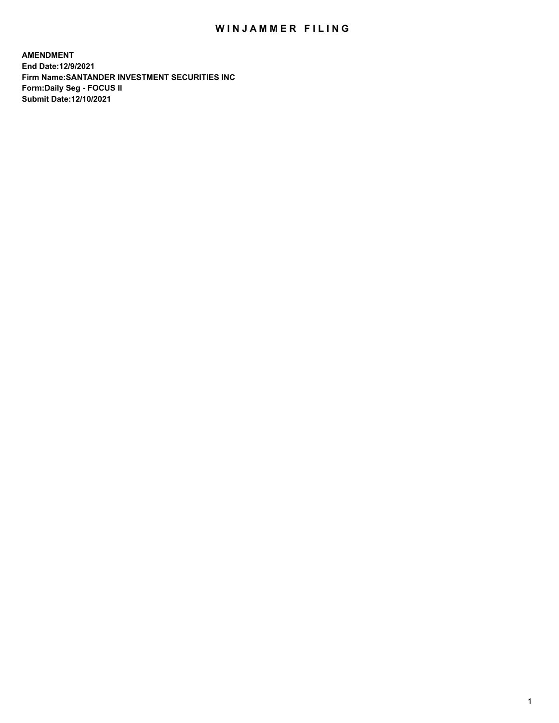## WIN JAMMER FILING

**AMENDMENT End Date:12/9/2021 Firm Name:SANTANDER INVESTMENT SECURITIES INC Form:Daily Seg - FOCUS II Submit Date:12/10/2021**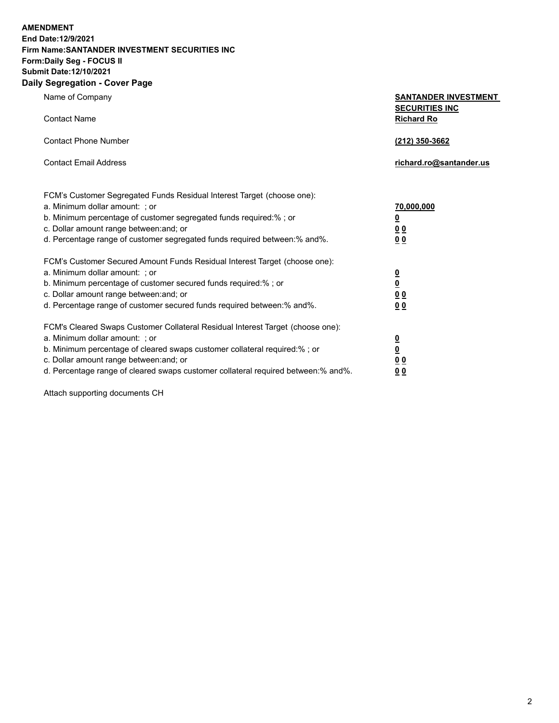**AMENDMENT End Date:12/9/2021 Firm Name:SANTANDER INVESTMENT SECURITIES INC Form:Daily Seg - FOCUS II Submit Date:12/10/2021 Daily Segregation - Cover Page**

Name of Company **SANTANDER INVESTMENT SECURITIES INC** Contact Name **Richard Ro** Contact Phone Number **(212) 350-3662** Contact Email Address **richard.ro@santander.us** FCM's Customer Segregated Funds Residual Interest Target (choose one): a. Minimum dollar amount: ; or **70,000,000** b. Minimum percentage of customer segregated funds required:% ; or **0** c. Dollar amount range between:and; or **0 0** d. Percentage range of customer segregated funds required between:% and%. **0 0** FCM's Customer Secured Amount Funds Residual Interest Target (choose one): a. Minimum dollar amount: ; or **0** b. Minimum percentage of customer secured funds required:% ; or **0** c. Dollar amount range between:and; or **0 0** d. Percentage range of customer secured funds required between:% and%. **0 0** FCM's Cleared Swaps Customer Collateral Residual Interest Target (choose one): a. Minimum dollar amount: ; or **0** b. Minimum percentage of cleared swaps customer collateral required:% ; or **0** c. Dollar amount range between:and; or **0 0** d. Percentage range of cleared swaps customer collateral required between:% and%. **0 0**

Attach supporting documents CH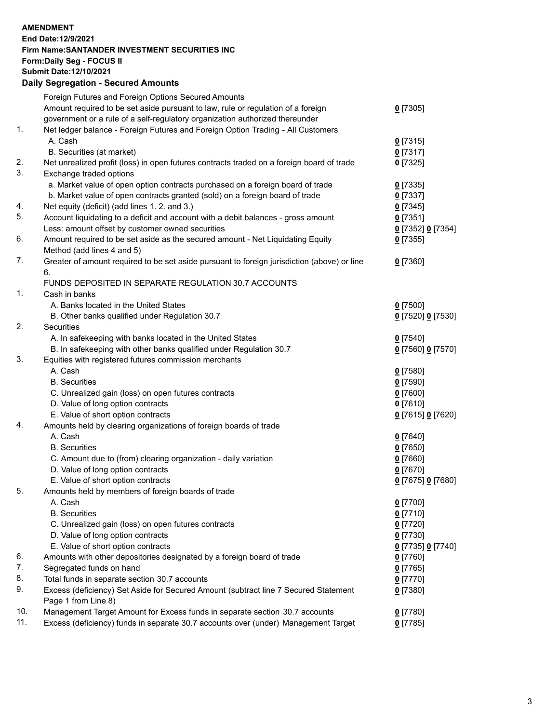## **AMENDMENT End Date:12/9/2021 Firm Name:SANTANDER INVESTMENT SECURITIES INC Form:Daily Seg - FOCUS II Submit Date:12/10/2021 Daily Segregation - Secured Amounts**

|     | Foreign Futures and Foreign Options Secured Amounts                                                |                   |
|-----|----------------------------------------------------------------------------------------------------|-------------------|
|     | Amount required to be set aside pursuant to law, rule or regulation of a foreign                   | $0$ [7305]        |
|     | government or a rule of a self-regulatory organization authorized thereunder                       |                   |
| 1.  | Net ledger balance - Foreign Futures and Foreign Option Trading - All Customers                    |                   |
|     | A. Cash                                                                                            | $0$ [7315]        |
|     | B. Securities (at market)                                                                          | $0$ [7317]        |
| 2.  | Net unrealized profit (loss) in open futures contracts traded on a foreign board of trade          | $0$ [7325]        |
| 3.  | Exchange traded options                                                                            |                   |
|     | a. Market value of open option contracts purchased on a foreign board of trade                     | $0$ [7335]        |
|     | b. Market value of open contracts granted (sold) on a foreign board of trade                       | $0$ [7337]        |
| 4.  | Net equity (deficit) (add lines 1. 2. and 3.)                                                      | $0$ [7345]        |
| 5.  | Account liquidating to a deficit and account with a debit balances - gross amount                  | $0$ [7351]        |
|     | Less: amount offset by customer owned securities                                                   | 0 [7352] 0 [7354] |
| 6.  | Amount required to be set aside as the secured amount - Net Liquidating Equity                     | $0$ [7355]        |
|     | Method (add lines 4 and 5)                                                                         |                   |
| 7.  | Greater of amount required to be set aside pursuant to foreign jurisdiction (above) or line        | $0$ [7360]        |
|     | 6.                                                                                                 |                   |
|     | FUNDS DEPOSITED IN SEPARATE REGULATION 30.7 ACCOUNTS                                               |                   |
| 1.  | Cash in banks                                                                                      |                   |
|     | A. Banks located in the United States                                                              | $0$ [7500]        |
|     | B. Other banks qualified under Regulation 30.7                                                     | 0 [7520] 0 [7530] |
| 2.  | Securities                                                                                         |                   |
|     | A. In safekeeping with banks located in the United States                                          | $0$ [7540]        |
|     | B. In safekeeping with other banks qualified under Regulation 30.7                                 | 0 [7560] 0 [7570] |
| 3.  | Equities with registered futures commission merchants                                              |                   |
|     | A. Cash                                                                                            | $0$ [7580]        |
|     | <b>B.</b> Securities                                                                               | $0$ [7590]        |
|     | C. Unrealized gain (loss) on open futures contracts                                                | $0$ [7600]        |
|     | D. Value of long option contracts                                                                  | $0$ [7610]        |
|     | E. Value of short option contracts                                                                 | 0 [7615] 0 [7620] |
| 4.  | Amounts held by clearing organizations of foreign boards of trade                                  |                   |
|     | A. Cash                                                                                            | $0$ [7640]        |
|     | <b>B.</b> Securities                                                                               | $0$ [7650]        |
|     | C. Amount due to (from) clearing organization - daily variation                                    | $0$ [7660]        |
|     | D. Value of long option contracts                                                                  | $0$ [7670]        |
|     | E. Value of short option contracts                                                                 | 0 [7675] 0 [7680] |
| 5.  | Amounts held by members of foreign boards of trade                                                 |                   |
|     | A. Cash                                                                                            | $0$ [7700]        |
|     | <b>B.</b> Securities                                                                               | $0$ [7710]        |
|     | C. Unrealized gain (loss) on open futures contracts                                                | $0$ [7720]        |
|     | D. Value of long option contracts                                                                  | $0$ [7730]        |
|     | E. Value of short option contracts                                                                 | 0 [7735] 0 [7740] |
| 6.  | Amounts with other depositories designated by a foreign board of trade                             | $0$ [7760]        |
| 7.  | Segregated funds on hand                                                                           | $0$ [7765]        |
| 8.  | Total funds in separate section 30.7 accounts                                                      | $0$ [7770]        |
| 9.  | Excess (deficiency) Set Aside for Secured Amount (subtract line 7 Secured Statement                | $0$ [7380]        |
| 10. | Page 1 from Line 8)<br>Management Target Amount for Excess funds in separate section 30.7 accounts |                   |
| 11. | Excess (deficiency) funds in separate 30.7 accounts over (under) Management Target                 | 0 [7780]          |
|     |                                                                                                    | $0$ [7785]        |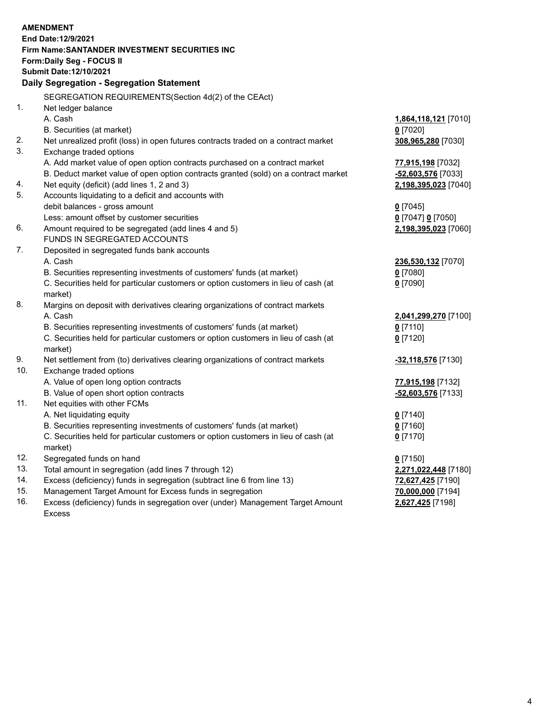| End Date: 12/9/2021<br>Firm Name: SANTANDER INVESTMENT SECURITIES INC<br>Form: Daily Seg - FOCUS II<br>Submit Date: 12/10/2021<br>Daily Segregation - Segregation Statement<br>SEGREGATION REQUIREMENTS(Section 4d(2) of the CEAct)<br>1.<br>Net ledger balance<br>A. Cash<br>1,864,118,121 [7010]<br>B. Securities (at market)<br>$0$ [7020]<br>2.<br>Net unrealized profit (loss) in open futures contracts traded on a contract market<br>308,965,280 [7030]<br>3.<br>Exchange traded options<br>A. Add market value of open option contracts purchased on a contract market<br>77,915,198 [7032]<br>B. Deduct market value of open option contracts granted (sold) on a contract market<br>-52,603,576 [7033]<br>Net equity (deficit) (add lines 1, 2 and 3)<br>4.<br>2,198,395,023 [7040]<br>5.<br>Accounts liquidating to a deficit and accounts with<br>debit balances - gross amount<br>$0$ [7045] |
|------------------------------------------------------------------------------------------------------------------------------------------------------------------------------------------------------------------------------------------------------------------------------------------------------------------------------------------------------------------------------------------------------------------------------------------------------------------------------------------------------------------------------------------------------------------------------------------------------------------------------------------------------------------------------------------------------------------------------------------------------------------------------------------------------------------------------------------------------------------------------------------------------------|
|                                                                                                                                                                                                                                                                                                                                                                                                                                                                                                                                                                                                                                                                                                                                                                                                                                                                                                            |
|                                                                                                                                                                                                                                                                                                                                                                                                                                                                                                                                                                                                                                                                                                                                                                                                                                                                                                            |
|                                                                                                                                                                                                                                                                                                                                                                                                                                                                                                                                                                                                                                                                                                                                                                                                                                                                                                            |
|                                                                                                                                                                                                                                                                                                                                                                                                                                                                                                                                                                                                                                                                                                                                                                                                                                                                                                            |
|                                                                                                                                                                                                                                                                                                                                                                                                                                                                                                                                                                                                                                                                                                                                                                                                                                                                                                            |
|                                                                                                                                                                                                                                                                                                                                                                                                                                                                                                                                                                                                                                                                                                                                                                                                                                                                                                            |
|                                                                                                                                                                                                                                                                                                                                                                                                                                                                                                                                                                                                                                                                                                                                                                                                                                                                                                            |
|                                                                                                                                                                                                                                                                                                                                                                                                                                                                                                                                                                                                                                                                                                                                                                                                                                                                                                            |
|                                                                                                                                                                                                                                                                                                                                                                                                                                                                                                                                                                                                                                                                                                                                                                                                                                                                                                            |
|                                                                                                                                                                                                                                                                                                                                                                                                                                                                                                                                                                                                                                                                                                                                                                                                                                                                                                            |
|                                                                                                                                                                                                                                                                                                                                                                                                                                                                                                                                                                                                                                                                                                                                                                                                                                                                                                            |
|                                                                                                                                                                                                                                                                                                                                                                                                                                                                                                                                                                                                                                                                                                                                                                                                                                                                                                            |
|                                                                                                                                                                                                                                                                                                                                                                                                                                                                                                                                                                                                                                                                                                                                                                                                                                                                                                            |
|                                                                                                                                                                                                                                                                                                                                                                                                                                                                                                                                                                                                                                                                                                                                                                                                                                                                                                            |
|                                                                                                                                                                                                                                                                                                                                                                                                                                                                                                                                                                                                                                                                                                                                                                                                                                                                                                            |
|                                                                                                                                                                                                                                                                                                                                                                                                                                                                                                                                                                                                                                                                                                                                                                                                                                                                                                            |
|                                                                                                                                                                                                                                                                                                                                                                                                                                                                                                                                                                                                                                                                                                                                                                                                                                                                                                            |
| Less: amount offset by customer securities<br>0 [7047] 0 [7050]<br>6.                                                                                                                                                                                                                                                                                                                                                                                                                                                                                                                                                                                                                                                                                                                                                                                                                                      |
| Amount required to be segregated (add lines 4 and 5)<br>2,198,395,023 [7060]                                                                                                                                                                                                                                                                                                                                                                                                                                                                                                                                                                                                                                                                                                                                                                                                                               |
| FUNDS IN SEGREGATED ACCOUNTS<br>7.                                                                                                                                                                                                                                                                                                                                                                                                                                                                                                                                                                                                                                                                                                                                                                                                                                                                         |
| Deposited in segregated funds bank accounts                                                                                                                                                                                                                                                                                                                                                                                                                                                                                                                                                                                                                                                                                                                                                                                                                                                                |
| A. Cash<br>236,530,132 [7070]                                                                                                                                                                                                                                                                                                                                                                                                                                                                                                                                                                                                                                                                                                                                                                                                                                                                              |
| B. Securities representing investments of customers' funds (at market)<br>$0$ [7080]                                                                                                                                                                                                                                                                                                                                                                                                                                                                                                                                                                                                                                                                                                                                                                                                                       |
| C. Securities held for particular customers or option customers in lieu of cash (at<br>$0$ [7090]                                                                                                                                                                                                                                                                                                                                                                                                                                                                                                                                                                                                                                                                                                                                                                                                          |
| market)<br>8.                                                                                                                                                                                                                                                                                                                                                                                                                                                                                                                                                                                                                                                                                                                                                                                                                                                                                              |
| Margins on deposit with derivatives clearing organizations of contract markets                                                                                                                                                                                                                                                                                                                                                                                                                                                                                                                                                                                                                                                                                                                                                                                                                             |
| A. Cash<br>2,041,299,270 [7100]                                                                                                                                                                                                                                                                                                                                                                                                                                                                                                                                                                                                                                                                                                                                                                                                                                                                            |
| B. Securities representing investments of customers' funds (at market)<br>$0$ [7110]                                                                                                                                                                                                                                                                                                                                                                                                                                                                                                                                                                                                                                                                                                                                                                                                                       |
| C. Securities held for particular customers or option customers in lieu of cash (at<br>$0$ [7120]                                                                                                                                                                                                                                                                                                                                                                                                                                                                                                                                                                                                                                                                                                                                                                                                          |
| market)<br>9.<br>Net settlement from (to) derivatives clearing organizations of contract markets                                                                                                                                                                                                                                                                                                                                                                                                                                                                                                                                                                                                                                                                                                                                                                                                           |
| -32,118,576 [7130]<br>10.<br>Exchange traded options                                                                                                                                                                                                                                                                                                                                                                                                                                                                                                                                                                                                                                                                                                                                                                                                                                                       |
| A. Value of open long option contracts                                                                                                                                                                                                                                                                                                                                                                                                                                                                                                                                                                                                                                                                                                                                                                                                                                                                     |
| 77,915,198 [7132]<br>B. Value of open short option contracts<br>-52,603,576 [7133]                                                                                                                                                                                                                                                                                                                                                                                                                                                                                                                                                                                                                                                                                                                                                                                                                         |
| 11.<br>Net equities with other FCMs                                                                                                                                                                                                                                                                                                                                                                                                                                                                                                                                                                                                                                                                                                                                                                                                                                                                        |
| A. Net liquidating equity<br>$0$ [7140]                                                                                                                                                                                                                                                                                                                                                                                                                                                                                                                                                                                                                                                                                                                                                                                                                                                                    |
|                                                                                                                                                                                                                                                                                                                                                                                                                                                                                                                                                                                                                                                                                                                                                                                                                                                                                                            |
|                                                                                                                                                                                                                                                                                                                                                                                                                                                                                                                                                                                                                                                                                                                                                                                                                                                                                                            |
| B. Securities representing investments of customers' funds (at market)<br>$0$ [7160]                                                                                                                                                                                                                                                                                                                                                                                                                                                                                                                                                                                                                                                                                                                                                                                                                       |
| C. Securities held for particular customers or option customers in lieu of cash (at<br>$0$ [7170]                                                                                                                                                                                                                                                                                                                                                                                                                                                                                                                                                                                                                                                                                                                                                                                                          |
| market)                                                                                                                                                                                                                                                                                                                                                                                                                                                                                                                                                                                                                                                                                                                                                                                                                                                                                                    |
| 12.<br>Segregated funds on hand<br>$0$ [7150]                                                                                                                                                                                                                                                                                                                                                                                                                                                                                                                                                                                                                                                                                                                                                                                                                                                              |
| 13.<br>Total amount in segregation (add lines 7 through 12)<br>2,271,022,448 [7180]                                                                                                                                                                                                                                                                                                                                                                                                                                                                                                                                                                                                                                                                                                                                                                                                                        |
| 14.<br>Excess (deficiency) funds in segregation (subtract line 6 from line 13)<br>72,627,425 [7190]                                                                                                                                                                                                                                                                                                                                                                                                                                                                                                                                                                                                                                                                                                                                                                                                        |
| 15.<br>Management Target Amount for Excess funds in segregation<br>70,000,000 [7194]<br>16.<br>Excess (deficiency) funds in segregation over (under) Management Target Amount<br>2,627,425 [7198]                                                                                                                                                                                                                                                                                                                                                                                                                                                                                                                                                                                                                                                                                                          |